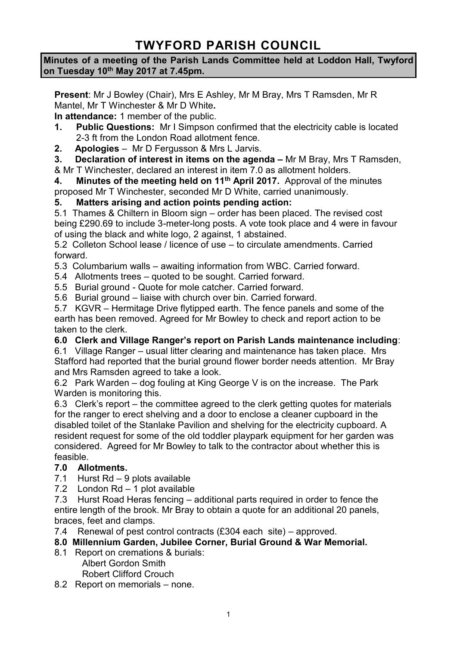# **TWYFORD PARISH COUNCIL**

#### **Minutes of a meeting of the Parish Lands Committee held at Loddon Hall, Twyford on Tuesday 10th May 2017 at 7.45pm.**

**Present**: Mr J Bowley (Chair), Mrs E Ashley, Mr M Bray, Mrs T Ramsden, Mr R Mantel, Mr T Winchester & Mr D White**.**

**In attendance:** 1 member of the public.

- **1. Public Questions:** Mr I Simpson confirmed that the electricity cable is located 2-3 ft from the London Road allotment fence.
- **2. Apologies**  Mr D Fergusson & Mrs L Jarvis.
- **3. Declaration of interest in items on the agenda –** Mr M Bray, Mrs T Ramsden,

& Mr T Winchester, declared an interest in item 7.0 as allotment holders.

**4. Minutes of the meeting held on 11th April 2017.** Approval of the minutes proposed Mr T Winchester, seconded Mr D White, carried unanimously.

# **5. Matters arising and action points pending action:**

5.1 Thames & Chiltern in Bloom sign – order has been placed. The revised cost being £290.69 to include 3-meter-long posts. A vote took place and 4 were in favour of using the black and white logo, 2 against, 1 abstained.

5.2 Colleton School lease / licence of use – to circulate amendments. Carried forward.

5.3 Columbarium walls – awaiting information from WBC. Carried forward.

5.4 Allotments trees – quoted to be sought. Carried forward.

5.5 Burial ground - Quote for mole catcher. Carried forward.

5.6 Burial ground – liaise with church over bin. Carried forward.

5.7 KGVR – Hermitage Drive flytipped earth. The fence panels and some of the earth has been removed. Agreed for Mr Bowley to check and report action to be taken to the clerk.

# **6.0 Clerk and Village Ranger's report on Parish Lands maintenance including**:

6.1 Village Ranger – usual litter clearing and maintenance has taken place. Mrs Stafford had reported that the burial ground flower border needs attention. Mr Bray and Mrs Ramsden agreed to take a look.

6.2 Park Warden – dog fouling at King George V is on the increase. The Park Warden is monitoring this.

6.3 Clerk's report – the committee agreed to the clerk getting quotes for materials for the ranger to erect shelving and a door to enclose a cleaner cupboard in the disabled toilet of the Stanlake Pavilion and shelving for the electricity cupboard. A resident request for some of the old toddler playpark equipment for her garden was considered. Agreed for Mr Bowley to talk to the contractor about whether this is feasible.

# **7.0 Allotments.**

- 7.1 Hurst Rd 9 plots available
- 7.2 London Rd 1 plot available

7.3 Hurst Road Heras fencing – additional parts required in order to fence the entire length of the brook. Mr Bray to obtain a quote for an additional 20 panels, braces, feet and clamps.

7.4 Renewal of pest control contracts (£304 each site) – approved.

# **8.0 Millennium Garden, Jubilee Corner, Burial Ground & War Memorial.**

8.1 Report on cremations & burials:

Albert Gordon Smith

Robert Clifford Crouch

8.2 Report on memorials – none.